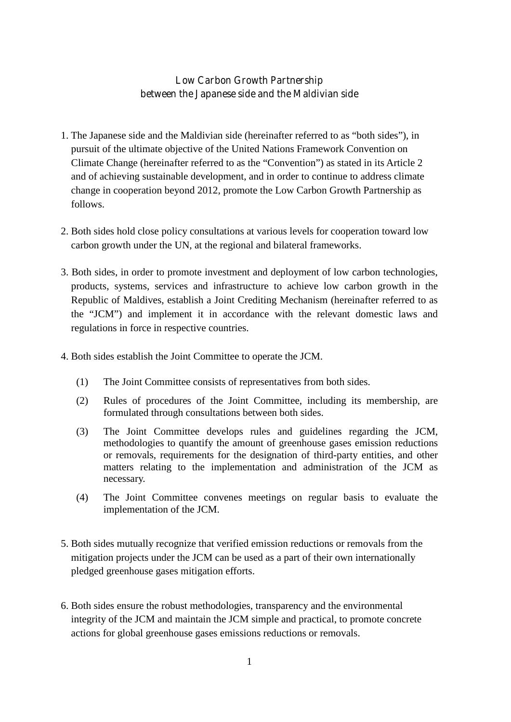## **Low Carbon Growth Partnership between the Japanese side and the Maldivian side**

- 1. The Japanese side and the Maldivian side (hereinafter referred to as "both sides"), in pursuit of the ultimate objective of the United Nations Framework Convention on Climate Change (hereinafter referred to as the "Convention") as stated in its Article 2 and of achieving sustainable development, and in order to continue to address climate change in cooperation beyond 2012, promote the Low Carbon Growth Partnership as follows.
- 2. Both sides hold close policy consultations at various levels for cooperation toward low carbon growth under the UN, at the regional and bilateral frameworks.
- 3. Both sides, in order to promote investment and deployment of low carbon technologies, products, systems, services and infrastructure to achieve low carbon growth in the Republic of Maldives, establish a Joint Crediting Mechanism (hereinafter referred to as the "JCM") and implement it in accordance with the relevant domestic laws and regulations in force in respective countries.
- 4. Both sides establish the Joint Committee to operate the JCM.
	- (1) The Joint Committee consists of representatives from both sides.
	- (2) Rules of procedures of the Joint Committee, including its membership, are formulated through consultations between both sides.
	- (3) The Joint Committee develops rules and guidelines regarding the JCM, methodologies to quantify the amount of greenhouse gases emission reductions or removals, requirements for the designation of third-party entities, and other matters relating to the implementation and administration of the JCM as necessary.
	- (4) The Joint Committee convenes meetings on regular basis to evaluate the implementation of the JCM.
- 5. Both sides mutually recognize that verified emission reductions or removals from the mitigation projects under the JCM can be used as a part of their own internationally pledged greenhouse gases mitigation efforts.
- 6. Both sides ensure the robust methodologies, transparency and the environmental integrity of the JCM and maintain the JCM simple and practical, to promote concrete actions for global greenhouse gases emissions reductions or removals.